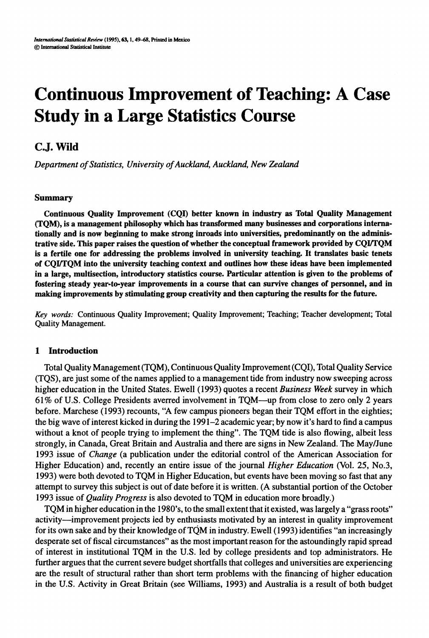# **Continuous Improvement of Teaching: A Case Study in a Large Statistics Course**

## **C.J. Wild**

*Department of Statistics, University of Auckland, Auckland, New Zealand* 

## **Summary**

Continuous Quality Improvement (CQI) better known in industry as Total Quality Management (TQM), is a management philosophy which has transformed many businesses and corporations internationally and is now beginning to make strong inroads into universities, predominantly on the administrative side. This paper raises the question of whether the conceptual framework provided by CQUTQM is a fertile one for addressing the problems involved in university teaching. It translates basic tenets of CQUTQM into the university teaching context and outlines how these ideas have been implemented in a large, multisection, introductory statistics course. Particular attention is given to the problems of fostering steady year-to-year improvements in a course that can survive changes of personnel, and in making improvements by stimulating group creativity and then capturing the results for the future.

*Key words:* Continuous Quality Improvement; Quality Improvement; Teaching; Teacher development; Total Quality Management.

## **1 Introduction**

Total Quality Management (TQM), Continuous Quality Improvement (CQI), Total Quality Service (TQS), are just some of the names applied to a management tide from industry now sweeping across higher education in the United States. Ewell (1993) quotes a recent *Business Week* survey in which 61% of U.S. College Presidents averred involvement in TQM-up from close to zero only 2 years before. Marchese (1993) recounts, "A few campus pioneers began their TQM effort in the eighties; the big wave of interest kicked in during the 1991-2 academic year; by now it's hard to find a campus without a knot of people trying to implement the thing". The TQM tide is also flowing, albeit less strongly, in Canada, Great Britain and Australia and there are signs in New Zealand. The May/June 1993 issue of *Change* (a publication under the editorial control of the American Association for Higher Education) and, recently an entire issue of the journal *Higher Education* (Vol. 25, No.3, 1993) were both devoted to TQM in Higher Education, but events have been moving so fast that any attempt to survey this subject is out of date before it is written. (A substantial portion of the October 1993 issue of *Quality Progress* is also devoted to TQM in education more broadly.)

TQM in higher education in the 1980's, to the small extent that it existed, was largely a "grass roots" activity-improvement projects led by enthusiasts motivated by an interest in quality improvement for its own sake and by their knowledge of TQM in industry. Ewell (1993) identifies "an increasingly desperate set of fiscal circumstances" **as** the most important reason for the astoundingly rapid spread of interest in institutional TQM in the U.S. led by college presidents and top administrators. He further argues that the current severe budget shortfalls that colleges and universities are experiencing are the result of structural rather than short term problems with the financing of higher education in the U.S. Activity in Great Britain (see Williams, 1993) and Australia is a result of both budget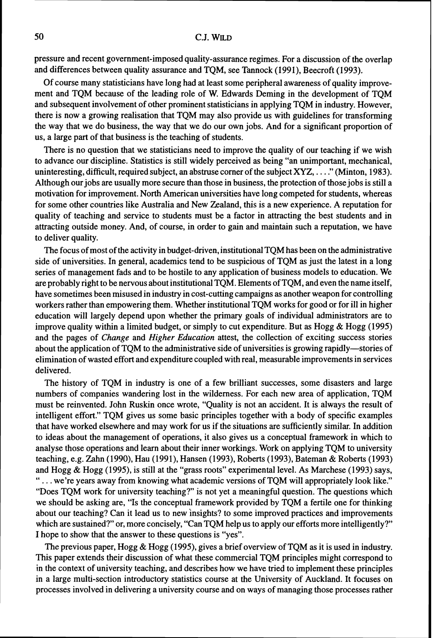pressure and recent government-imposed quality-assurance regimes. For a discussion of the overlap and differences between quality assurance and TQM, see Tannock (1991), Beecroft (1993).

Of course many statisticians have long had at least some peripheral awareness of quality improvement and TQM because of the leading role of W. Edwards Deming in the development of TQM and subsequent involvement of other prominent statisticians in applying TQM in industry. However, there is now a growing realisation that TQM may also provide us with guidelines for transforming the way that we do business, the way that we do our own jobs. And for a significant proportion of us, a large part of that business is the teaching of students.

There is no question that we statisticians need to improve the quality of our teaching if we wish to advance our discipline. Statistics is still widely perceived as being "an unimportant, mechanical, uninteresting, difficult, required subject, an abstruse corner of the subject XYZ, . . . ." (Minton, 1983). Although our jobs are usually more secure than those in business, the protection of those jobs is still a motivation for improvement. North American universities have long competed for students, whereas for some other countries like Australia and New Zealand, this is a new experience. A reputation for quality of teaching and service to students must be a factor in attracting the best students and in attracting outside money. And, of course, in order to gain and maintain such a reputation, we have to deliver quality.

The focus of most of the activity in budget-driven, institutional TQM has been on the administrative side of universities. In general, academics tend to be suspicious of TQM as just the latest in a long series of management fads and to be hostile to any application of business models to education. We are probably right to be nervous about institutional TQM. Elements of TQM, and even the name itself, have sometimes been misused in industry in cost-cutting campaigns as another weapon for controlling workers rather than empowering them. Whether institutional TQM works for good or for ill in higher education will largely depend upon whether the primary goals of individual administrators are to improve quality within a limited budget, or simply to cut expenditure. But as Hogg & Hogg (1995) and the pages of *Change* and *Higher Education* attest, the collection of exciting success stories about the application of TQM to the administrative side of universities is growing rapidly—stories of elimination of wasted effort and expenditure coupled with real, measurable improvements in services delivered.

The history of TQM in industry is one of a few brilliant successes, some disasters and large numbers of companies wandering lost in the wilderness. For each new area of application, TQM must be reinvented. John Ruskin once wrote, "Quality is not an accident. It is always the result of intelligent effort." TQM gives us some basic principles together with a body of specific examples that have worked elsewhere and may work for us if the situations are sufficiently similar. In addition to ideas about the management of operations, it also gives us a conceptual framework in which to analyse those operations and learn about their inner workings. Work on applying TQM to university teaching, e.g. Zahn (1990), Hau (1991), Hansen (1993), Roberts (1993), Bateman & Roberts (1993) and Hogg & Hogg (1995), is still at the "grass roots" experimental level. As Marchese (1993) says, " . . . we're years away from knowing what academic versions of TQM will appropriately look like." "Does TQM work for university teaching?" is not yet a meaningful question. The questions which we should be asking are, "Is the conceptual framework provided by TQM a fertile one for thinking about our teaching? Can it lead us to new 'insights? to some improved practices and improvements which are sustained?" or, more concisely, "Can TQM help us to apply our efforts more intelligently?" I hope to show that the answer to these questions is "yes".

The previous paper, Hogg & Hogg (1995), gives a brief overview of TQM as it is used in industry. This paper extends their discussion of what these commercial TQM principles might correspond to in the context of university teaching, and describes how we have tried to implement these principles in a large multi-section introductory statistics course at the University of Auckland. It focuses on processes involved in delivering a university course and on ways of managing those processes rather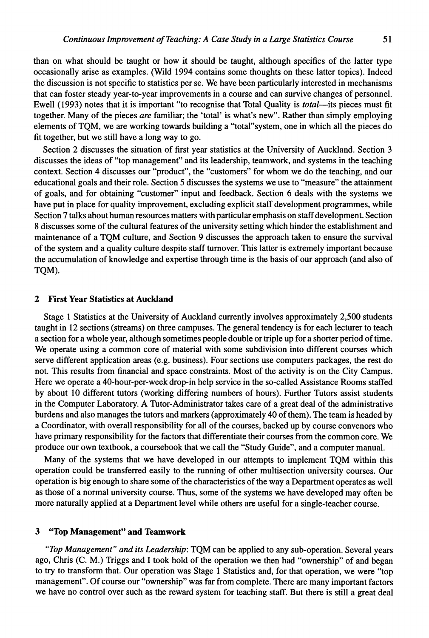than on what should be taught or how it should be taught, although specifics of the latter type occasionally arise as examples. (Wild 1994 contains some thoughts on these latter topics). Indeed the discussion is not specific to statistics per se. We have been particularly interested in mechanisms that can foster steady year-to-year improvements in a course and can survive changes of personnel. Ewell (1993) notes that it is important "to recognise that Total Quality is *total*—its pieces must fit together. Many of the pieces *are* familiar; the 'total' is what's new". Rather than simply employing elements of TQM, we are working towards building a "total"system, one in which all the pieces do fit together, but we still have a long way to go.

Section 2 discusses the situation of first year statistics at the University of Auckland. Section **3**  discusses the ideas of "top management" and its leadership, teamwork, and systems in the teaching context. Section 4 discusses our "product", the "customers" for whom we do the teaching, and our educational goals and their role. Section 5 discusses the systems we use to "measure" the attainment of goals, and for obtaining "customer" input and feedback. Section 6 deals with the systems we have put in place for quality improvement, excluding explicit staff development programmes, while Section 7 talks about human resources matters with particular emphasis on staff development. Section 8 discusses some of the cultural features of the university setting which hinder the establishment and maintenance of a TQM culture, and Section 9 discusses the approach taken to ensure the survival of the system and a quality culture despite staff turnover. This latter is extremely important because the accumulation of knowledge and expertise through time is the basis of our approach (and also of TQM).

## **2 First Year Statistics at Auckland**

Stage 1 Statistics at the University of Auckland currently involves approximately 2,500 students taught in 12 sections (streams) on three campuses. The general tendency is for each lecturer to teach a section for a whole year, although sometimes people double or triple up for a shorter period of time. We operate using a common core of material with some subdivision into different courses which serve different application areas (e.g. business). Four sections use computers packages, the rest do not. This results from financial and space constraints. Most of the activity is on the City Campus. Here we operate a 40-hour-per-week drop-in help service in the so-called Assistance Rooms staffed by about 10 different tutors (working differing numbers of hours). Further Tutors assist students in the Computer Laboratory. A Tutor-Administrator takes care of a great deal of the administrative burdens and also manages the tutors and markers (approximately 40 of them). The team is headed by a Coordinator, with overall responsibility for all of the courses, backed up by course convenors who have primary responsibility for the factors that differentiate their courses from the common core. We produce our own textbook, a coursebook that we call the "Study Guide", and a computer manual.

Many of the systems that we have developed in our attempts to implement TQM within this operation could be transferred easily to the running of other multisection university courses. Our operation is big enough to share some of the characteristics of the way a Department operates as well as those of a normal university course. Thus, some of the systems we have developed may often be more naturally applied at a Department level while others are useful for a single-teacher course.

## **3 "Top Management" and Teamwork**

*"Top Management" and its Leadership:* TQM can be applied to any sub-operation. Several years ago, Chris (C. M.) Triggs and I took hold of the operation we then had "ownership" of and began to try to transform that. Our operation was Stage 1 Statistics and, for that operation, we were "top management". Of course our "ownership" was far from complete. There are many important factors we have no control over such as the reward system for teaching staff. But there is still a great deal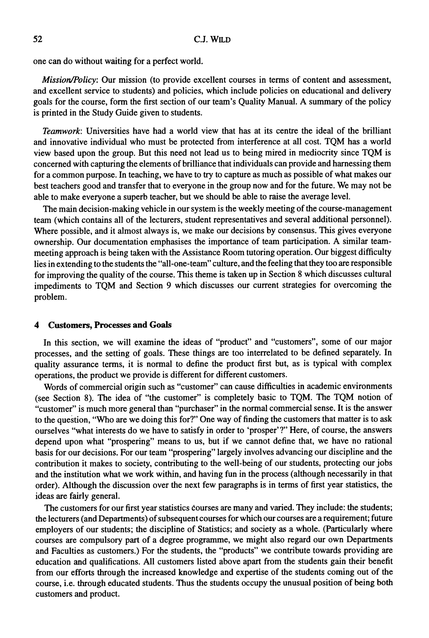one can do without waiting for a perfect world.

Mission/Policy: Our mission (to provide excellent courses in terms of content and assessment, and excellent service to students) and policies, which include policies on educational and delivery goals for the course, form the first section of our team's Quality Manual. A summary of the policy is printed in the Study Guide given to students.

Teamwork: Universities have had a world view that has at its centre the ideal of the brilliant and innovative individual who must be protected from interference at all cost. TQM has a world view based upon the group. But this need not lead us to being mired in mediocrity since TQM is concerned with capturing the elements of brilliance that individuals can provide and harnessing them for a common purpose. In teaching, we have to try to capture as much as possible of what makes our best teachers good and transfer that to everyone in the group now and for the future. We may not be able to make everyone a superb teacher, but we should be able to raise the average level.

The main decision-making vehicle in our system is the weekly meeting of the course-management team (which contains all of the lecturers, student representatives and several additional personnel). Where possible, and it almost always is, we make our decisions by consensus. This gives everyone ownership. Our documentation emphasises the importance of team participation. A similar teammeeting approach is being taken with the Assistance Room tutoring operation. Our biggest difficulty lies in extending to the students the "all-one-team" culture, and the feeling that they too are responsible for improving the quality of the course. This theme is taken up in Section 8 which discusses cultural impediments to TQM and Section 9 which discusses our current strategies for overcoming the problem.

## **4 Customers, Processes and Gods**

In this section, we will examine the ideas of "product" and "customers", some of our major processes, and the setting of goals. These things are too interrelated to be defined separately. In quality assurance terms, it is normal to define the product first but, as is typical with complex operations, the product we provide is different for different customers.

Words of commercial origin such as "customer" can cause difficulties in academic environments (see Section 8). The idea of "the customer" is completely basic to TQM. The TQM notion of "customer" is much more general than "purchaser" in the normal commercial sense. It is the answer to the question, "Who are we doing this for?" One way of finding the customers that matter is to ask ourselves "what interests do we have to satisfy in order to 'prosper'?'Here, of course, the answers depend upon what "prospering" means to us, but if we cannot define that, we have no rational basis for our decisions. For our team "prospering" largely involves advancing our discipline and the contribution it makes to society, contributing to the well-being of our students, protecting our jobs and the institution what we work within, and having fun in the process (although necessarily in that order). Although the discussion over the next few paragraphs is in terms of first year statistics, the ideas are fairly general.

The customers for our first year statistics courses are many and varied. They include: the students; the lecturers (and Departments) of subsequent courses for which our courses are a requirement; future employers of our students; the discipline of Statistics; and society as a whole. (Particularly where courses are compulsory part of a degree programme, we might also regard our own Departments and Faculties as customers.) For the students, the "products" we contribute towards providing are education and qualifications. All customers listed above apart from the students gain their benefit from our efforts through the increased knowledge and expertise of the students coming out of the course, i.e. through educated students. Thus the students occupy the unusual position of being both customers and product.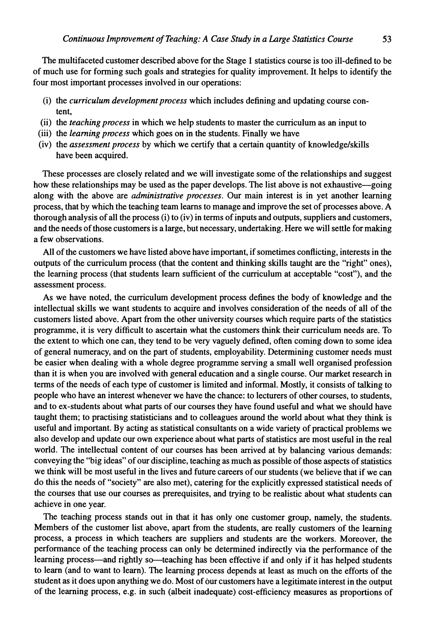The multifaceted customer described above for the Stage 1 statistics course is too ill-defined to be of much use for forming such goals and strategies for quality improvement. It helps to identify the four most important processes involved in our operations:

- (i) the *curriculum development process* which includes defining and updating course content,
- (ii) the *teaching process* in which we help students to master the cumculum as an input to
- (iii) the *learning process* which goes on in the students. Finally we have
- (iv) the *assessment process* by which we certify that a certain quantity of knowledge/skills have been acquired.

These processes are closely related and we will investigate some of the relationships and suggest how these relationships may be used as the paper develops. The list above is not exhaustive-going along with the above are *administrative processes.* Our main interest is in yet another learning process, that by which the teaching team learns to manage and improve the set of processes above. A thorough analysis of all the process (i) to (iv) in terms of inputs and outputs, suppliers and customers, and the needs of those customers is a large, but necessary, undertaking. Here we will settle for making a few observations.

All of the customers we have listed above have important, if sometimes conflicting, interests in the outputs of the curriculum process (that the content and thinking skills taught are the "right" ones), the learning process (that students learn sufficient of the curriculum at acceptable "cost"), and the assessment process.

As we have noted, the curriculum development process defines the body of knowledge and the intellectual skills we want students to acquire and involves consideration of the needs of all of the customers listed above. Apart from the other university courses which require parts of the statistics programme, it is very difficult to ascertain what the customers think their curriculum needs are. To the extent to which one can, they tend to be very vaguely defined, often coming down to some idea of general numeracy, and on the part of students, employability. Determining customer needs must be easier when dealing with a whole degree programme serving a small well organised profession than it is when you are involved with general education and a single course. Our market research in terms of the needs of each type of customer is limited and informal. Mostly, it consists of talking to people who have an interest whenever we have the chance: to lecturers of other courses, to students, and to ex-students about what parts of our courses they have found useful and what we should have taught them; to practising statisticians and to colleagues around the world about what they think is useful and important. By acting as statistical consultants on a wide variety of practical problems we also develop and update our own experience about what parts of statistics are most useful in the real world. The intellectual content of our courses has been arrived at by balancing various demands: conveying the "big ideas" of our discipline, teaching as much as possible of those aspects of statistics we think will be most useful in the lives and future careers of our students (we believe that if we can do this the needs of "society" are also met), catering for the explicitly expressed statistical needs of the courses that use our courses as prerequisites, and trying to be realistic about what students can achieve in one year.

The teaching process stands out in that it has only one customer group, namely, the students. Members of the customer list above, apart from the students, are really customers of the learning process, a process in which teachers are suppliers and students are the workers. Moreover, the performance of the teaching process can only be determined indirectly via the performance of the learning process—and rightly so—teaching has been effective if and only if it has helped students to learn (and to want to learn). The learning process depends at least as much on the efforts of the student as it does upon anything we do. Most of our customers have a legitimate interest in the output of the learning process, e.g. in such (albeit inadequate) cost-efficiency measures as proportions of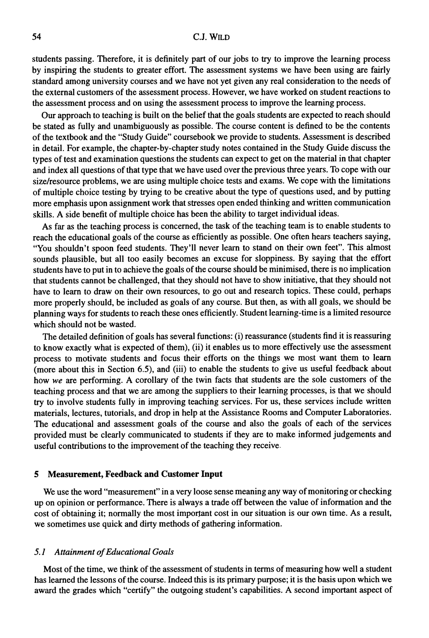students passing. Therefore, it is definitely part of our jobs to **try** to improve the learning process by inspiring the students to greater effort. The assessment systems we have been using are fairly standard among university courses and we have not yet given any real consideration to the needs of the external customers of the assessment process. However, we have worked on student reactions to the assessment process and on using the assessment process to improve the learning process.

Our approach to teaching is built on the belief that the goals students are expected to reach should be stated as fully and unambiguously as possible. The course content is defined to be the contents of the textbook and the "Study Guide" coursebook we provide to students. Assessment is described in detail. For example, the chapter-by-chapter study notes contained in the Study Guide discuss the types of test and examination questions the students can expect to get on the material in that chapter and index all questions of that type that we have used over the previous three years. To cope with our size/resource problems, we are using multiple choice tests and exams. We cope with the limitations of multiple choice testing by trying to be creative about the type of questions used, and by putting more emphasis upon assignment work that stresses open ended thinking and written communication shlls. **A** side benefit of multiple choice has been the ability to target individual ideas.

As far as the teaching process is concerned, the task of the teaching team is to enable students to reach the educational goals of the course as efficiently as possible. One often hears teachers saying, "You shouldn't spoon feed students. They'll never learn to stand on their own feet". This almost sounds plausible, but all too easily becomes an excuse for sloppiness. By saying that the effort students have to put in to achieve the goals of the course should be minimised, there is no implication that students cannot be challenged, that they should not have to show initiative, that they should not have to learn to draw on their own resources, to go out and research topics. These could, perhaps more properly should, be included as goals of any course. But then, as with all goals, we should be planning ways for students to reach these ones efficiently. Student learning-time is a limited resource which should not be wasted.

The detailed definition of goals has several functions: (i) reassurance (students find it is reassuring to know exactly what is expected of them), (ii) it enables us to more effectively use the assessment process to motivate students and focus their efforts on the things we most want them to learn (more about this in Section *6.5),* and (iii) to enable the students to give us useful feedback about how we are performing. A corollary of the twin facts that students are the sole customers of the teaching process and that we are among the suppliers to their learning processes, is that we should **try** to involve students fully in improving teaching services. For us, these services include written materials, lectures, tutorials, and drop in help at the Assistance Rooms and Computer Laboratories. The educational and assessment goals of the course and also the goals of each of the services provided must be clearly communicated to students if they are to make informed judgements and useful contributions to the improvement of the teaching they receive.

#### **5 Measurement, Feedback and Customer Input**

We use the word "measurement" in a very loose sense meaning any way of monitoring or checking up on opinion or performance. There is always a trade off between the value of information and the cost of obtaining it; normally the most important cost in our situation is our own time. As a result, we sometimes use quick and dirty methods of gathering information.

#### *5.1 Attainment of Educational Goals*

Most of the time, we think of the assessment of students in terms of measuring how well a student has learned the lessons of the course. Indeed this is its primary purpose; it is the basis upon which we award the grades which "certify" the outgoing student's capabilities. A second important aspect of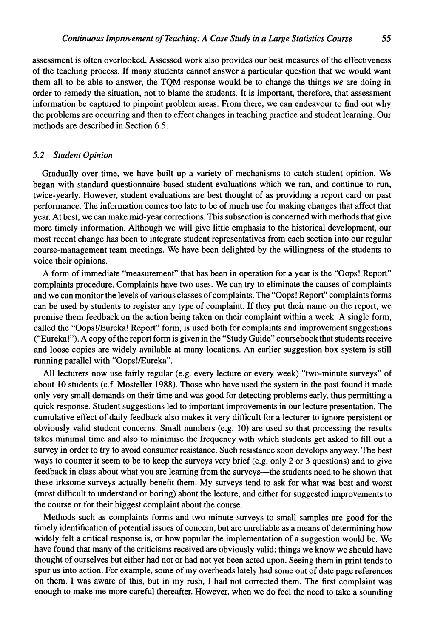assessment is often overlooked. Assessed work also provides our best measures of the effectiveness of the teaching process. If many students cannot answer a particular question that we would want them all to be able to answer, the TQM response would be to change the things *we* are doing in order to remedy the situation, not to blame the students. It is important, therefore, that assessment information be captured to pinpoint problem areas. From there, we can endeavour to find out why the problems are occurring and then to effect changes in teaching practice and student learning. Our methods are described in Section 6.5.

## *5.2 Student Opinion*

Gradually over time, we have built up a variety of mechanisms to catch student opinion. We began with standard questionnaire-based student evaluations which we ran, and continue to run, twice-yearly. However, student evaluations are best thought of as providing a report card on past performance. The information comes too late to be of much use for making changes that affect that year. At best, we can make mid-year corrections. This subsection is concerned with methods that give more timely information. Although we will give little emphasis to the historical development, our most recent change has been to integrate student representatives from each section into our regular course-management team meetings. We have been delighted by the willingness of the students to voice their opinions.

A form of immediate "measurement" that has been in operation for a year is the "Oops! Report" complaints procedure. Complaints have two uses. We can try to eliminate the causes of complaints and we can monitor the levels of various classes of complaints. The "Oops! Report" complaints forms can be used by students to register any type of complaint. If they put their name on the report, we promise them feedback on the action being taken on their complaint within a week. A single form, called the "Oops!/Eureka! Report" form, is used both for complaints and improvement suggestions ("Eureka!"). A copy of the report form is given in the "Study Guide" coursebook that students receive and loose copies are widely available at many locations. An earlier suggestion box system is still running parallel with "Oops!/Eureka".

All lecturers now use fairly regular (e.g. every lecture or every week) "two-minute surveys" of about 10 students (c.f. Mosteller 1988). Those who have used the system in the past found it made only very small demands on their time and was good for detecting problems early, thus permitting a quick response. Student suggestions led to important improvements in our lecture presentation. The cumulative effect of daily feedback also makes it very difficult for a lecturer to ignore persistent or obviously valid student concerns. Small numbers (e.g. 10) are used so that processing the results takes minimal time and also to minimise the frequency with which students get asked to fill out a survey in order to try to avoid consumer resistance. Such resistance soon develops anyway. The best ways to counter it seem to be to keep the surveys very brief (e.g. only 2 or **3** questions) and to give feedback in class about what you are learning from the surveys-the students need to be shown that these irksome surveys actually benefit them. My surveys tend to ask for what was best and worst (most difficult to understand or boring) about the lecture, and either for suggested improvements to the course or for their biggest complaint about the course.

Methods such as complaints forms and two-minute surveys to small samples are good for the timely identification of potential issues of concern, but are unreliable as a means of determining how widely felt a critical response is, or how popular the implementation of a suggestion would be. We have found that many of the criticisms received are obviously valid; things we know we should have thought of ourselves but either had not or had not yet been acted upon. Seeing them in print tends to spur us into action. For example, some of my overheads lately had some out of date page references on them. I was aware of this, but in my rush, I had not corrected them. The first complaint was enough to make me more careful thereafter. However, when we do feel the need to take a sounding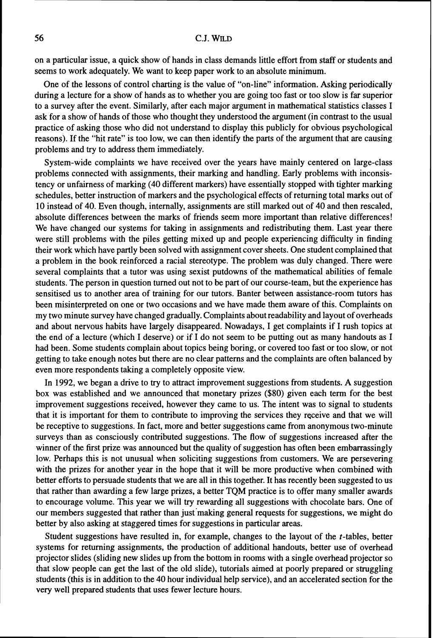## 56 C.J. **WILD**

on a particular issue, a quick show of hands in class demands little effort from staff or students and seems to work adequately. We want to keep paper work to an absolute minimum.

One of the lessons of control charting is the value of "on-line" information. Asking periodically during a lecture for a show of hands as to whether you are going too fast or too slow is far superior to a survey after the event. Similarly, after each major argument in mathematical statistics classes I ask for a show of hands of those who thought they understood the argument (in contrast to the usual practice of asking those who did not understand to display this publicly for obvious psychological reasons). If the "hit rate" is too low, we can then identify the parts of the argument that are causing problems and try to address them immediately.

System-wide complaints we have received over the years have mainly centered on large-class problems connected with assignments, their marking and handling. Early problems with inconsistency or unfairness of marking (40 different markers) have essentially stopped with tighter marking schedules, better instruction of markers and the psychological effects of returning total marks out of 10 instead of 40. Even though, internally, assignments are still marked out of 40 and then rescaled, absolute differences between the marks of friends seem more important than relative differences! We have changed our systems for taking in assignments and redistributing them. Last year there were still problems with the piles getting mixed up and people experiencing difficulty in finding their work which have partly been solved with assignment cover sheets. One student complained that a problem in the book reinforced a racial stereotype. The problem was duly changed. There were several complaints that a tutor was using sexist putdowns of the mathematical abilities of female students. The person in question turned out not to be part of our course-team, but the experience has sensitised us to another area of training for our tutors. Banter between assistance-room tutors has been misinterpreted on one or two occasions and we have made them aware of this. Complaints on my two minute survey have changed gradually. Complaints about readability and layout of overheads and about nervous habits have largely disappeared. Nowadays, I get complaints if I rush topics at the end of a lecture (which I deserve) or if I do not seem to be putting out as many handouts as I had been. Some students complain about topics being boring, or covered too fast or too slow, or not getting to take enough notes but there are no clear patterns and the complaints are often balanced by even more respondents taking a completely opposite view.

In 1992, we began a drive to try to attract improvement suggestions from students. A suggestion box was established and we announced that monetary prizes (\$80) given each term for the best improvement suggestions received, however they came to us. The intent was to signal to students that it is important for them to contribute to improving the services they receive and that we will be receptive to suggestions. In fact, more and better suggestions came from anonymous two-minute surveys than as consciously contributed suggestions. The flow of suggestions increased after the winner of the first prize was announced but the quality of suggestion has often been embarrassingly low. Perhaps this is not unusual when soliciting suggestions from customers. We are persevering with the prizes for another year in the hope that it will be more productive when combined with better efforts to persuade students that we are all in this together. It has recently been suggested to us that rather than awarding a few large prizes, a better TQM practice is to offer many smaller awards to encourage volume. This year we will try rewarding all suggestions with chocolate bars. One of our members suggested that rather than just'making general requests for suggestions, we might do better by also asking at staggered times for suggestions in particular areas.

Student suggestions have resulted in, for example, changes to the layout of the t-tables, better systems for returning assignments, the production of additional handouts, better use of overhead projector slides (sliding new slides up from the bottom in rooms with a single overhead projector so that slow people can get the last of the old slide), tutorials aimed at poorly prepared or struggling students (this is in addition to the 40 hour individual help service), and an accelerated section for the very well prepared students that uses fewer lecture hours.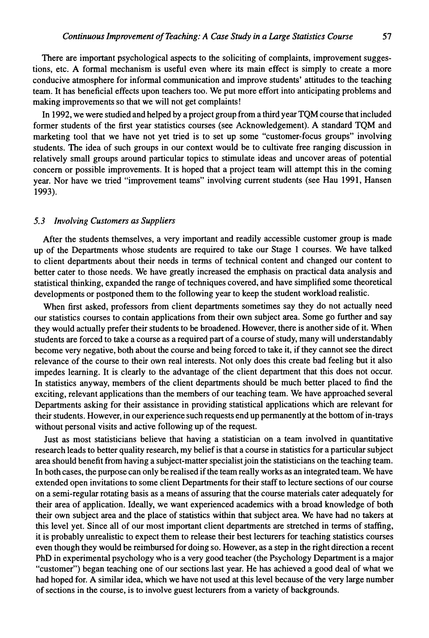There are important psychological aspects to the soliciting of complaints, improvement suggestions, etc. A formal mechanism is useful even where its main effect is simply to create a more conducive atmosphere for informal communication and improve students' attitudes to the teaching team. It has beneficial effects upon teachers too. We put more effort into anticipating problems and making improvements so that we will not get complaints!

In 1992, we were studied and helped by a project group from a third year TQM course that included former students of the first year statistics courses (see Acknowledgement). A standard TQM and marketing tool that we have not yet tried is to set up some "customer-focus groups" involving students. The idea of such groups in our context would be to cultivate free ranging discussion in relatively small groups around particular topics to stimulate ideas and uncover areas of potential concern or possible improvements. It is hoped that a project team will attempt this in the coming year. Nor have we tried "improvement teams" involving current students (see Hau 1991, Hansen 1993).

#### *5.3 Involving Customers as Suppliers*

After the students themselves, a very important and readily accessible customer group is made up of the Departments whose students are required to take our Stage 1 courses. We have talked to client departments about their needs in terms of technical content and changed our content to better cater to those needs. We have greatly increased the emphasis on practical data analysis and statistical thinking, expanded the range of techniques covered, and have simplified some theoretical developments or postponed them to the following year to keep the student workload realistic.

When first asked, professors from client departments sometimes say they do not actually need our statistics courses to contain applications from their own subject area. Some go further and say they would actually prefer their students to be broadened. However, there is another side of it. When students are forced to take a course as a required part of a course of study, many will understandably become very negative, both about the course and being forced to take it, if they cannot see the direct relevance of the course to their own real interests. Not only does this create bad feeling but it also impedes learning. It is clearly to the advantage of the client department that this does not occur. In statistics anyway, members of the client departments should be much better placed to find the exciting, relevant applications than the members of our teaching team. We have approached several Departments asking for their assistance in providing statistical applications which are relevant for their students. However, in our experience such requests end up permanently at the bottom of in-trays without personal visits and active following up of the request.

Just as most statisticians believe that having a statistician on a team involved in quantitative research leads to better quality research, my belief is that a course in statistics for a particular subject area should benefit from having a subject-matter specialist join the statisticians on the teaching team. In both cases, the purpose can only be realised if the team really works as an integrated team. We have extended open invitations to some client Departments for their staff to lecture sections of our course on a semi-regular rotating basis as a means of assuring that the course materials cater adequately for their area of application. Ideally, we want experienced academics with a broad knowledge of both their own subject area and the place of statistics within that subject area. We have had no takers at this level yet. Since all of our most important client departments are stretched in terms of staffing, it is probably unrealistic to expect them to release their best lecturers for teaching statistics courses even though they would be reimbursed for doing so. However, as a step in the right direction a recent PhD in experimental psychology who is a very good teacher (the Psychology Department is a major "customer") began teaching one of our sections.last year. He has achieved a good deal of what we had hoped for. **A** similar idea, which we have not used at this level because of the very large number of sections in the course, is to involve guest lecturers from a variety of backgrounds.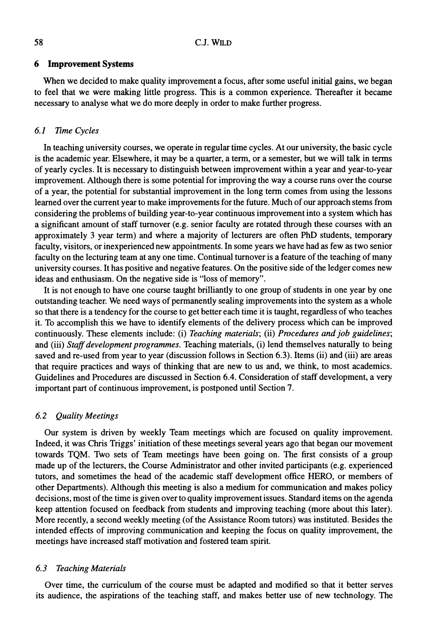#### **6 Improvement Systems**

When we decided to make quality improvement a focus, after some useful initial gains, we began to feel that we were making little progress. This is a common experience. Thereafter it became necessary to analyse what we do more deeply in order to make further progress.

## *6.1 Time Cycles*

In teaching university courses, we operate in regular time cycles. At our university, the basic cycle is the academic year. Elsewhere, it may be a quarter, a term, or a semester, but we will talk in terms of yearly cycles. It is necessary to distinguish between improvement within a year and year-to-year improvement. Although there is some potential for improving the way a course runs over the course of a year, the potential for substantial improvement in the long term comes from using the lessons learned over the current year to make improvements for the future. Much of our approach stems from considering the problems of building year-to-year continuous improvement into a system which has a significant amount of staff turnover (e.g. senior faculty are rotated through these courses with an approximately 3 year term) and where a majority of lecturers are often PhD students, temporary faculty, visitors, or inexperienced new appointments. In some years we have had as few as two senior faculty on the lecturing team at any one time. Continual turnover is a feature of the teaching of many university courses. It has positive and negative features. On the positive side of the ledger comes new ideas and enthusiasm. On the negative side is "loss of memory".

It is not enough to have one course taught brilliantly to one group of students in one year by one outstanding teacher. We need ways of permanently sealing improvements into the system as a whole so that there is a tendency for the course to get better each time it is taught, regardless of who teaches it. To accomplish this we have to identify elements of the delivery process which can be improved continuously. These elements include: (i) *Teaching materials;* (ii) *Procedures and job guidelines;*  and (iii) *Staff development programmes.* Teaching materials, (i) lend themselves naturally to being saved and re-used from year to year (discussion follows in Section 6.3). Items (ii) and (iii) are areas that require practices and ways of thinking that are new to us and, we think, to most academics. Guidelines and Procedures are discussed in Section 6.4. Consideration of staff development, a very important part of continuous improvement, is postponed until Section 7.

## *6.2 Quality Meetings*

Our system is driven by weekly Team meetings which are focused on quality improvement. Indeed, it was Chris Triggs' initiation of these meetings several years ago that began our movement towards TQM. Two sets of Team meetings have been going on. The first consists of a group made up of the lecturers, the Course Administrator and other invited participants (e.g. experienced tutors, and sometimes the head of the academic staff development office HERO, or members of other Departments). Although this meeting is also a medium for communication and makes policy decisions, most of the time is given over to quality improvement issues. Standard items on the agenda keep attention focused on feedback from students and improving teaching (more about this later). More recently, a second weekly meeting (of the Assistance Room tutors) was instituted. Besides the intended effects of improving communication and keeping the focus on quality improvement, the meetings have increased staff motivation and fostered team spirit.

## *6.3 Teaching Materials*

Over time, the curriculum of the course must be adapted and modified so that it better serves its audience, the aspirations of the teaching staff, and makes better use of new technology. The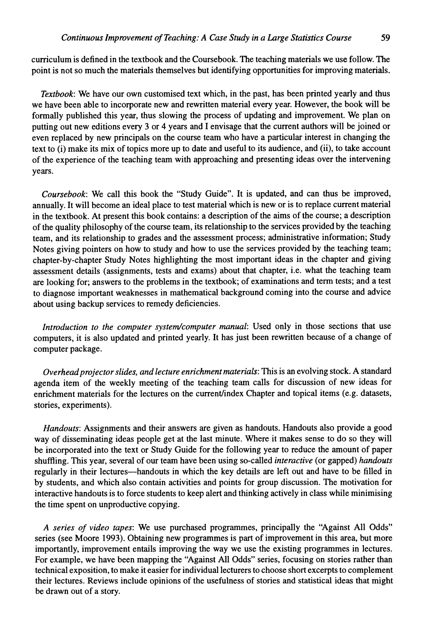curriculum is defined in the textbook and the Coursebook. The teaching materials we use follow. The point is not so much the materials themselves but identifying opportunities for improving materials.

*Textbook:* We have our own customised text which, in the past, has been printed yearly and thus we have been able to incorporate new and rewritten material every year. However, the book will be formally published this year, thus slowing the process of updating and improvement. We plan on putting out new editions every 3 or 4 years and I envisage that the current authors will be joined or even replaced by new principals on the course team who have a particular interest in changing the text to (i) make its mix of topics more up to date and useful to its audience, and (ii), to take account of the experience of the teaching team with approaching and presenting ideas over the intervening years.

*Coursebook:* We call this book the "Study Guide". It is updated, and can thus be improved, annually. It will become an ideal place to test material which is new or is to replace current material in the textbook. At present this book contains: a description of the aims of the course; a description of the quality philosophy of the course team, its relationship to the services provided by the teaching team, and its relationship to grades and the assessment process; administrative information; Study Notes giving pointers on how to study and how to use the services provided by the teaching team; chapter-by-chapter Study Notes highlighting the most important ideas in the chapter and giving assessment details (assignments, tests and exams) about that chapter, i.e. what the teaching team are looking for; answers to the problems in the textbook; of examinations and term tests; and a test to diagnose important weaknesses in mathematical background coming into the course and advice about using backup services to remedy deficiencies.

*Introduction to the computer system/computer manual:* Used only in those sections that use computers, it is also updated and printed yearly. It has just been rewritten because of a change of computer package.

*Overheadprojector slides, and lecture enrichment materials:* This is an evolving stock. A standard agenda item of the weekly meeting of the teaching team calls for discussion of new ideas for enrichment materials for the lectures on the current/index Chapter and topical items (e.g. datasets, stories, experiments).

*Handouts:* Assignments and their answers are given as handouts. Handouts also provide a good way of disseminating ideas people get at the last minute. Where it makes sense to do so they will be incorporated into the text or Study Guide for the following year to reduce the amount of paper shuffling. This year, several of our team have been using so-called *interactive* (or gapped) *handouts*  regularly in their lectures-handouts in which the key details are left out and have to be filled in by students, and which also contain activities and points for group discussion. The motivation for interactive handouts is to force students to keep alert and thinking actively in class while minimising the time spent on unproductive copying.

*A series of video tapes:* We use purchased programmes, principally the "Against All Odds" series (see Moore 1993). Obtaining new programmes is part of improvement in this area, but more importantly, improvement entails improving the way we use the existing programmes in lectures. For example, we have been mapping the "Against All Odds" series, focusing on stories rather than technical exposition, to make it easier for individual lecturers to choose short excerpts to complement their lectures. Reviews include opinions of the usefulness of stories and statistical ideas that might be drawn out of a story.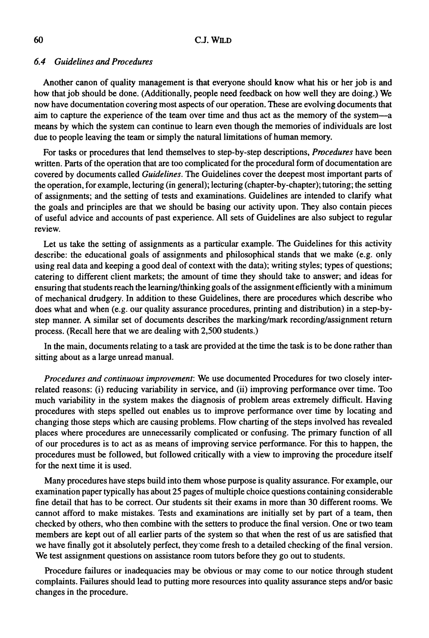## *6.4 Guidelines and Procedures*

Another canon of quality management is that everyone should know what his or her job is and how that job should be done. (Additionally, people need feedback on how well they are doing.) We now have documentation covering most aspects of our operation. These are evolving documents that aim to capture the experience of the team over time and thus act as the memory of the system-a means by which the system can continue to learn even though the memories of individuals are lost due to people leaving the team or simply the natural limitations of human memory.

For tasks or procedures that lend themselves to step-by-step descriptions, *Procedures* have been written. Parts of the operation that are too complicated for the procedural form of documentation are covered by documents called *Guidelines.* The Guidelines cover the deepest most important parts of the operation, for example, lecturing (in general); lecturing (chapter-by-chapter); tutoring; the setting of assignments; and the setting of tests and examinations. Guidelines are intended to clarify what the goals and principles are that we should be basing our activity upon. They also contain pieces of useful advice and accounts of past experience. All sets of Guidelines are also subject to regular review.

Let us take the setting of assignments as a particular example. The Guidelines for this activity describe: the educational goals of assignments and philosophical stands that we make (e.g. only using real data and keeping a good deal of context with the data); writing styles; types of questions; catering to different client markets; the amount of time they should take to answer; and ideas for ensuring that students reach the learning/thinking goals of the assignment efficiently with a minimum of mechanical drudgery. In addition to these Guidelines, there are procedures which describe who does what and when (e.g. our quality assurance procedures, printing and distribution) in a step-bystep manner. A similar set of documents describes the marking/mark recording/assignment return process. (Recall here that we are dealing with 2,500 students.)

In the main, documents relating to a task are provided at the time the task is to be done rather than sitting about as a large unread manual.

*Procedures and continuous improvement:* We use documented Procedures for two closely interrelated reasons: (i) reducing variability in service, and (ii) improving performance over time. Too much variability in the system makes the diagnosis of problem areas extremely difficult. Having procedures with steps spelled out enables us to improve performance over time by locating and changing those steps which are causing problems. Flow charting of the steps involved has revealed places where procedures are unnecessarily complicated or confusing. The primary function of all of our procedures is to act as as means of improving service performance. For this to happen, the procedures must be followed, but followed critically with a view to improving the procedure itself for the next time it is used.

Many procedures have steps build into them whose purpose is quality assurance. For example, our examination paper typically has about *25* pages of multiple choice questions containing considerable fine detail that has to be correct. Our students sit their exams in more than 30 different rooms. We cannot afford to make mistakes. Tests and examinations are initially set by part of a team, then checked by others, who then combine with the setters to produce the final version. One or two team members are kept out of all earlier parts of the system so that when the rest of us are satisfied that we have finally got it absolutely perfect, they'come fresh to a detailed checking of the final version. We test assignment questions on assistance room tutors before they go out to students.

Procedure failures or inadequacies may be obvious or may come to our notice through student complaints. Failures should lead to putting more resources into quality assurance steps and/or basic changes in the procedure.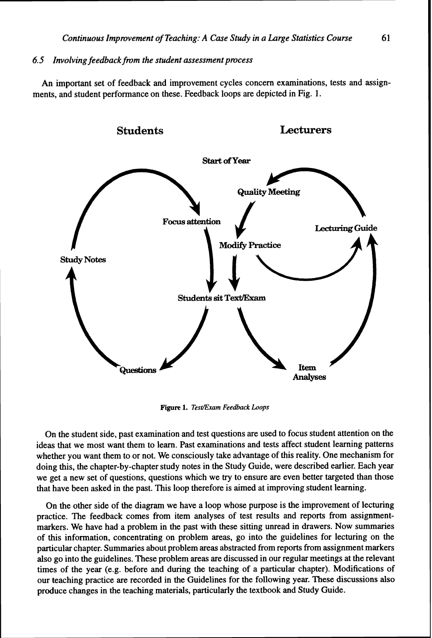## *6.5 Involving feedbackfrom the student assessment process*

An important set of feedback and improvement cycles concern examinations, tests and assignments, and student performance on these. Feedback loops are depicted in Fig. 1.



**Figure 1.** *Tesr/Emm* **Feedback** *Loops* 

On the student side, past examination and test questions are used to focus student attention on the ideas that we most want them to learn. Past examinations and tests affect student learning patterns whether you want them to or not. We consciously take advantage of this reality. One mechanism for doing this, the chapter-by-chapter study notes in the Study Guide, were described earlier. Each year we get a new set of questions, questions which we try to ensure are even better targeted than those that have been asked in the past. This loop therefore is aimed at improving student learning.

On the other side of the diagram we have a loop whose purpose is the improvement of lecturing practice. The feedback comes from item analyses of test results and reports from assignmentmarkers. We have had a problem in the past with these sitting unread in drawers. Now summaries of this information, concentrating on problem areas, go into the guidelines for lecturing on the particular chapter. Summaries about problem areas abstracted from reports from assignment markers also go into the guidelines. These problem areas are discussed in our regular meetings at the relevant times of the year (e.g. before and during the teaching of a particular chapter). Modifications of our teaching practice are recorded in the Guidelines for the following year. These discussions also produce changes in the teaching materials, particularly the textbook and Study Guide.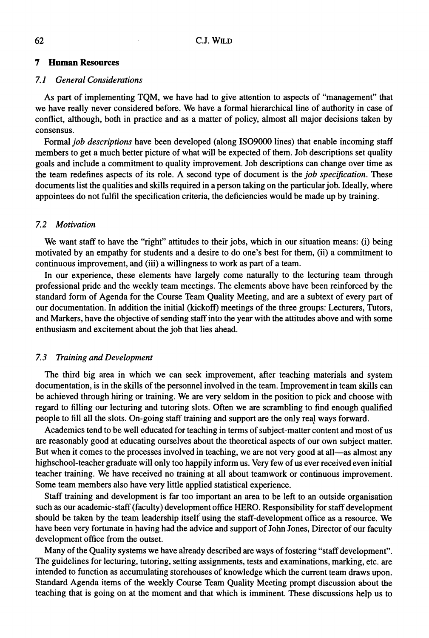## **7 Human Resources**

#### *7.1 General Considerations*

As part of implementing TQM, we have had to give attention to aspects of "management" that we have really never considered before. We have a formal hierarchical line of authority in case of conflict, although, both in practice and as a matter of policy, almost all major decisions taken by consensus.

Formal *job descriptions* have been developed (along IS09000 lines) that enable incoming staff members to get a much better picture of what will be expected of them. Job descriptions set quality goals and include a commitment to quality improvement. Job descriptions can change over time as the team redefines aspects of its role. A second type of document is the *job specification.* These documents list the qualities and skills required in a person taking on the particular job. Ideally, where appointees do not fulfil the specification criteria, the deficiencies would be made up by training.

## *7.2 Motivation*

We want staff to have the "right" attitudes to their jobs, which in our situation means: (i) being motivated by an empathy for students and a desire to do one's best for them, (ii) a commitment to continuous improvement, and (iii) a willingness to work as part of a team.

In our experience, these elements have largely come naturally to the lecturing team through professional pride and the weekly team meetings. The elements above have been reinforced by the standard form of Agenda for the Course Team Quality Meeting, and are a subtext of every part of our documentation. In addition the initial (kickoff) meetings of the three groups: Lecturers, Tutors, and Markers, have the objective of sending staff into the year with the attitudes above and with some enthusiasm and excitement about the job that lies ahead.

## *7.3 Training and Development*

The third big area in which we can seek improvement, after teaching materials and system documentation, is in the skills of the personnel involved in the team. Improvement in team skills can be achieved through hiring or training. We are very seldom in the position to pick and choose with regard to filling our lecturing and tutoring slots. Often we are scrambling to find enough qualified people to fill all the slots. On-going staff training and support are the only real ways forward.

Academics tend to be well educated for teaching in terms of subject-matter content and most of us are reasonably good at educating ourselves about the theoretical aspects of our own subject matter. But when it comes to the processes involved in teaching, we are not very good at all—as almost any highschool-teacher graduate will only too happily inform us. Very few of us ever received even initial teacher training. We have received no training at all about teamwork or continuous improvement. Some team members also have very little applied statistical experience.

Staff training and development is far too important an area to be left to an outside organisation such as our academic-staff (faculty) development office HERO. Responsibility for staff development should be taken by the team leadership itself using the staff-development office as a resource. We have been very fortunate in having had the advice and support of John Jones, Director of our faculty development office from the outset.

Many of the Quality systems we have already described are ways of fostering "staff development". The guidelines for lecturing, tutoring, setting assignments, tests and examinations, marking, etc. are intended to function as accumulating storehouses of knowledge which the current team draws upon. Standard Agenda items of the weekly Course Team Quality Meeting prompt discussion about the teaching that is going on at the moment and that which is imminent. These discussions help us to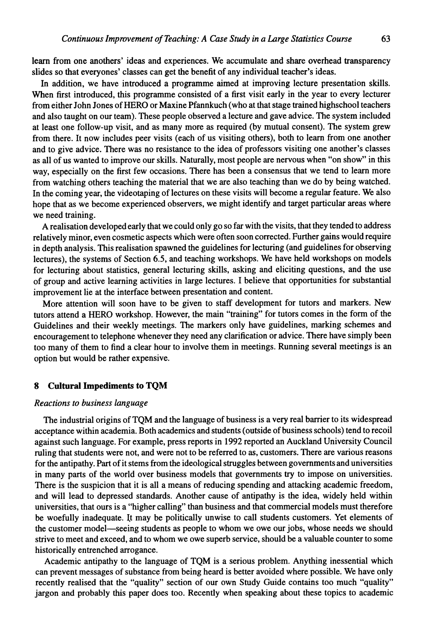learn from one mothers' ideas and experiences. We accumulate and share overhead transparency slides so that everyones' classes can get the benefit of any individual teacher's ideas.

In addition, we have introduced a programme aimed at improving lecture presentation skills. When first introduced, this programme consisted of a first visit early in the year to every lecturer from either John Jones of HERO or Maxine Pfannkuch (who at that stage trained highschool teachers and also taught on our team). These people observed a lecture and gave advice. The system included at least one follow-up visit, and as many more as required (by mutual consent). The system grew from there. It now includes peer visits (each of us visiting others), both to learn from one another and to give advice. There was no resistance to the idea of professors visiting one another's classes as all of us wanted to improve our skills. Naturally, most people are nervous when "on show" in this way, especially on the first few occasions. There has been a consensus that we tend to learn more from watching others teaching the material that we are also teaching than we do by being watched. In the coming year, the videotaping of lectures on these visits will become a regular feature. We also hope that as we become experienced observers, we might identify and target particular areas where we need training.

A realisation developed early that we could only go so far with the visits, that they tended to address relatively minor, even cosmetic aspects which were often soon corrected. Further gains would require in depth analysis. This realisation spawned the guidelines for lecturing (and guidelines for observing lectures), the systems of Section 6.5, and teaching workshops. We have held workshops on models for lecturing about statistics, general lecturing skills, asking and eliciting questions, and the use of group and active learning activities in large lectures. I believe that opportunities for substantial improvement lie at the interface between presentation and content.

More attention will soon have to be given to staff development for tutors and markers. New tutors attend a HERO workshop. However, the main "training" for tutors comes in the form of the Guidelines and their weekly meetings. The markers only have guidelines, marking schemes and encouragement to telephone whenever they need any clarification or advice. There have simply been too many of them to find a clear hour to involve them in meetings. Running several meetings is an option but would be rather expensive.

#### **8 Cultural Impediments to TQM**

## *Reactions to business language*

The industrial origins of TQM and the language of business is a very real barrier to its widespread acceptance within academia. Both academics and students (outside of business schools) tend to recoil against such language. For example, press reports in 1992 reported an Auckland University Council ruling that students were not, and were not to be referred to as, customers. There are various reasons for the antipathy. Part of it stems from the ideological struggles between governments and universities in many parts of the world over business models that governments try to impose on universities. There is the suspicion that it is all a means of reducing spending and attacking academic freedom, and will lead to depressed standards. Another cause of antipathy is the idea, widely held within universities, that ours is a "higher calling" than business and that commercial models must therefore be woefully inadequate. **If** may be politically unwise to call students customers. Yet elements of the customer model-seeing students as people to whom we owe our jobs, whose needs we should strive to meet and exceed, and to whom we owe superb service, should be a valuable counter to some historically entrenched arrogance.

Academic antipathy to the language of TQM is a serious problem. Anything inessential which can prevent messages of substance from being heard is better avoided where possible. We have only recently realised that the "quality" section of our own Study Guide contains too much "quality" jargon and probably this paper does too. Recently when speaking about these topics to academic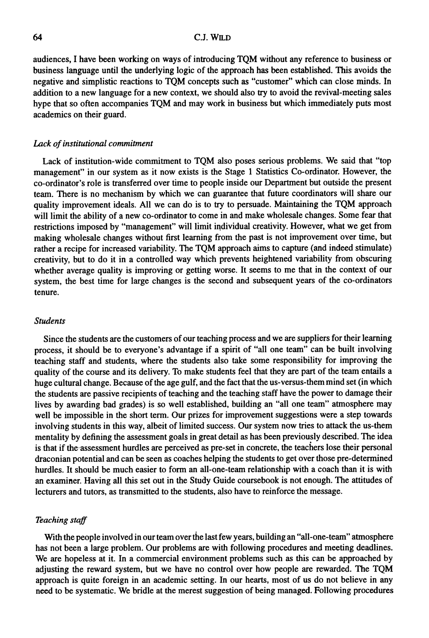audiences, I have been working on ways of introducing TQM without any reference to business or business language until the underlying logic of the approach has been established. This avoids the negative and simplistic reactions to TQM concepts such as "customer" which can close minds. In addition to a new language for a new context, we should also **try** to avoid the revival-meeting sales hype that so often accompanies TQM and may work in business but which immediately puts most academics on their guard.

#### *Lack of institutional commitment*

Lack of institution-wide commitment to TQM also poses serious problems. We said that "top management" in our system as it now exists is the Stage 1 Statistics Co-ordinator. However, the co-ordinator's role is transferred over time to people inside our Department but outside the present team. There is no mechanism by which we can guarantee that future coordinators will share our quality improvement ideals. All we can do is to try to persuade. Maintaining the TQM approach will limit the ability of a new co-ordinator to come in and make wholesale changes. Some fear that restrictions imposed by "management" will limit individual creativity. However, what we get from making wholesale changes without first learning from the past is not improvement over time, but rather a recipe for increased variability. The TQM approach aims to capture (and indeed stimulate) creativity, but to do it in a controlled way which prevents heightened variability from obscuring whether average quality is improving or getting worse. It seems to me that in the context of our system, the best time for large changes is the second and subsequent years of the co-ordinators tenure.

#### *Students*

Since the students are the customers of our teaching process and we are suppliers for their learning process, it should be to everyone's advantage if a spirit of "all one team" can be built involving teaching staff and students, where the students also take some responsibility for improving the quality of the course and its delivery. To make students feel that they are part of the team entails a huge cultural change. Because of the age gulf, and the fact that the us-versus-themmind set (in which the students are passive recipients of teaching and the teaching staff have the power to damage their lives by awarding bad grades) is so well established, building an "all one team" atmosphere may well be impossible in the short term. Our prizes for improvement suggestions were a step towards involving students in this way, albeit of limited success. Our system now tries to attack the us-them mentality by defining the assessment goals in great detail as has been previously described. The idea is that if the assessment hurdles are perceived as pre-set in concrete, the teachers lose their personal draconian potential and can be seen as coaches helping the students to get over those pre-determined hurdles. It should be much easier to form an all-one-team relationship with a coach than it is with an examiner. Having all this set out in the Study Guide coursebook is not enough. The attitudes of lecturers and tutors, as transmitted to the students, also have to reinforce the message.

## *Teaching* **staff**

With the people involved in our team over the last few years, building an "all-one-team" atmosphere has not been a large problem. Our problems are with following procedures and meeting deadlines. We are hopeless at it. In a commercial environment problems such as this can be approached by adjusting the reward system, but we have no control over how people are rewarded. The TQM approach is quite foreign in an academic setting. In our hearts, most of us do not believe in any need to be systematic. We bridle at the merest suggestion of being managed. Following procedures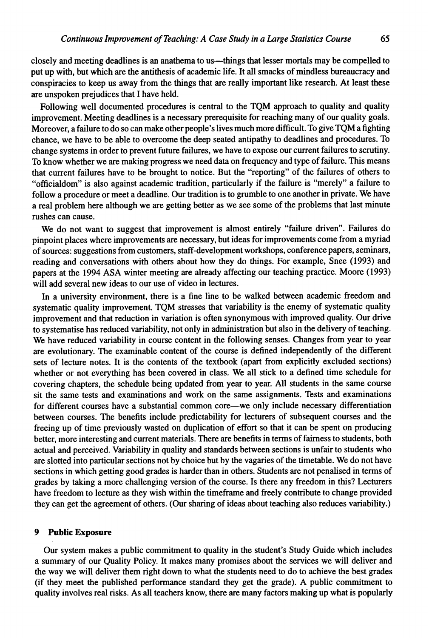closely and meeting deadlines is an anathema to us—things that lesser mortals may be compelled to put up with, but which are the antithesis of academic life. It all smacks of mindless bureaucracy and conspiracies to keep us away from the things that are really important like research. At least these are unspoken prejudices that I have held.

Following well documented procedures is central to the TQM approach to quality and quality improvement. Meeting deadlines is a necessary prerequisite for reaching many of our quality goals. Moreover, a failure to do so can make other people's lives much more difficult. To give TQM a fighting chance, we have to be able to overcome the deep seated antipathy to deadlines and procedures. To change systems in order to prevent future failures, we have to expose our current failures to scrutiny. To know whether we are making progress we need data on frequency and type of failure. This means that current failures have to be brought to notice. But the "reporting" of the failures of others to "officialdom" is also against academic tradition, particularly if the failure is "merely" a failure to follow a procedure or meet a deadline. Our tradition is to grumble to one another in private. We have a real problem here although we are getting better as we see some of the problems that last minute rushes can cause.

We do not want to suggest that improvement is almost entirely "failure driven". Failures do pinpoint places where improvements are necessary, but ideas for improvements come from a myriad of sources: suggestions from customers, staff-development workshops, conference papers, seminars, reading and conversations with others about how they do things. For example, Snee (1993) and papers at the 1994 ASA winter meeting are already affecting our teaching practice. Moore (1993) will add several new ideas to our use of video in lectures.

In a university environment, there is a fine line to be walked between academic freedom and systematic quality improvement. TQM stresses that variability is the enemy of systematic quality improvement and that reduction in variation is often synonymous with improved quality. Our drive to systematise has reduced variability, not only in administration but also in the delivery of teaching. We have reduced variability in course content in the following senses. Changes from year to year are evolutionary. The examinable content of the course is defined independently of the different sets of lecture notes. It is the contents of the textbook (apart from explicitly excluded sections) whether or not everything has been covered in class. We all stick to a defined time schedule for covering chapters, the schedule being updated from year to year. All students in the same course sit the same tests and examinations and work on the same assignments. Tests and examinations for different courses have a substantial common core—we only include necessary differentiation between courses. The benefits include predictability for lecturers of subsequent courses and the freeing up of time previously wasted on duplication of effort so that it can be spent on producing better, more interesting and current materials. There are benefits in terms of fairness to students, both actual and perceived. Variability in quality and standards between sections is unfair to students who are slotted into particular sections not by choice but by the vagaries of the timetable. We do not have sections in which getting good grades is harder than in others. Students are not penalised in terms of grades by taking a more challenging version of the course. Is there any freedom in this? Lecturers have freedom to lecture as they wish within the timeframe and freely contribute to change provided they can get the agreement of others. (Our sharing of ideas about teaching also reduces variability.)

## **9 Public Exposure**

Our system makes a public commitment to quality in the student's Study Guide which includes a summary of our Quality Policy. It makes many promises about the services we will deliver and the way we will deliver them right down to what the students need to do to achieve the best grades (if they meet the published performance standard they get the grade). A public commitment to quality involves real risks. As all teachers know, there are many factors making up what is popularly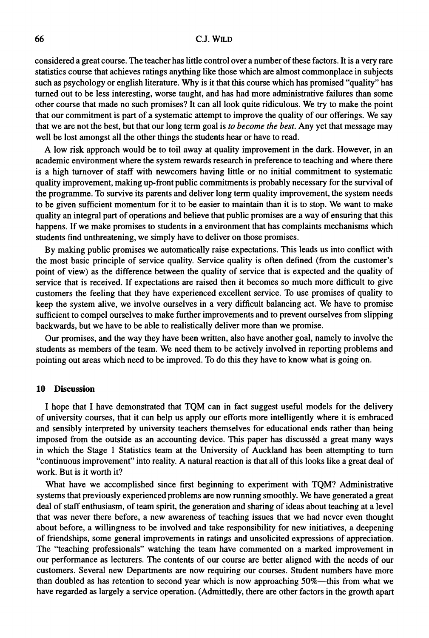## **C.J. WILD**

considered a great course. The teacher has little control over a number of these factors. It is a very rare statistics course that achieves ratings anything like those which are almost commonplace in subjects such as psychology or english literature. Why is it that this course which has promised "quality" has turned out to be less interesting, worse taught, and has had more administrative failures than some other course that made no such promises? It can all look quite ridiculous. We **try** to make the point that our commitment is part of a systematic attempt to improve the quality of our offerings. We say that we are not the best, but that our long term goal is *to become the best.* Any yet that message may well be lost amongst all the other things the students hear or have to read.

A low risk approach would be to toil away at quality improvement in the dark. However, in an academic environment where the system rewards research in preference to teaching and where there is a high turnover of staff with newcomers having little or no initial commitment to systematic quality improvement, making up-front public commitments is probably necessary for the survival of the programme. To survive its parents and deliver long term quality improvement, the system needs to be given sufficient momentum for it to be easier to maintain than it is to stop. We want to make quality an integral part of operations and believe that public promises are a way of ensuring that this happens. If we make promises to students in a environment that has complaints mechanisms which students find unthreatening, we simply have to deliver on those promises.

By making public promises we automatically raise expectations. This leads us into conflict with the most basic principle of service quality. Service quality is often defined (from the customer's point of view) as the difference between the quality of service that is expected and the quality of service that is received. If expectations are raised then it becomes so much more difficult to give customers the feeling that they have experienced excellent service. To use promises of quality to keep the system alive, we involve ourselves in a very difficult balancing act. We have to promise sufficient to compel ourselves to make further improvements and to prevent ourselves from slipping backwards, but we have to be able to realistically deliver more than we promise.

Our promises, and the way they have been written, also have another goal, namely to involve the students as members of the team. We need them to be actively involved in reporting problems and pointing out areas which need to be improved. To do this they have to know what is going on.

## **10 Discussion**

I hope that I have demonstrated that TQM can in fact suggest useful models for the delivery of university courses, that it can help us apply our efforts more intelligently where it is embraced and sensibly interpreted by university teachers themselves for educational ends rather than being imposed from the outside as an accounting device. This paper has discussed a great many ways in which the Stage 1 Statistics team at the University of Auckland has been attempting to turn "continuous improvement" into reality. A natural reaction is that all of this looks like a great deal of work. But is it worth it?

What have we accomplished since first beginning to experiment with TQM? Administrative systems that previously experienced problems are now running smoothly. We have generated a great deal of staff enthusiasm, of team spirit, the generation and sharing of ideas about teaching at a level that was never there before, a new awareness of teaching issues that we had never even thought about before, a willingness to be involved and take responsibility for new initiatives, a deepening of friendships, some general improvements in ratings and unsolicited expressions of appreciation. The "teaching professionals" watching the team have commented on a marked improvement in our performance as lecturers. The contents of our course are better aligned with the needs of our customers. Several new Departments are now requiring our courses. Student numbers have more than doubled as has retention to second year which is now approaching 50%-this from what we have regarded as largely a service operation. (Admittedly, there are other factors in the growth apart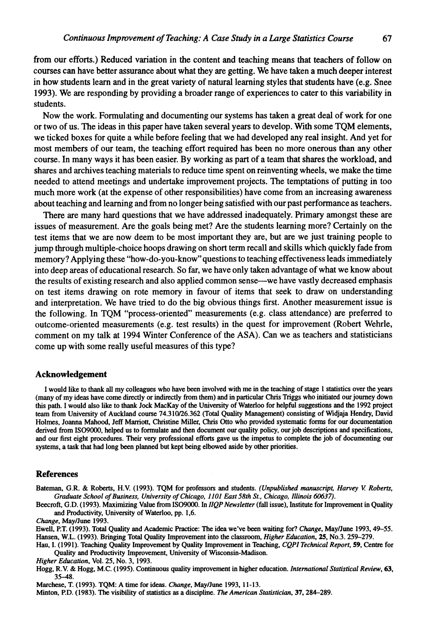from our efforts.) Reduced variation in the content and teaching means that teachers of follow on courses can have better assurance about what they are getting. We have taken a much deeper interest in how students learn and in the great variety of natural learning styles that students have (e.g. Snee **1993).** We are responding by providing a broader range of experiences to cater to this variability in students.

Now the work. Formulating and documenting our systems has taken a great deal of work for one or two of us. The ideas in this paper have taken several years to develop. With some **TQM** elements, we ticked boxes for quite a while before feeling that we had developed any real insight. And yet for most members of our team, the teaching effort required has been no more onerous than any other course. In many ways it has been easier. By working as part of a team that shares the workload, and shares and archives teaching materials to reduce time spent on reinventing wheels, we make the time needed to attend meetings and undertake improvement projects. The temptations of putting in too much more work (at the expense of other responsibilities) have come from an increasing awareness about teaching and learning and from no longer being satisfied with our past performance as teachers.

There are many hard questions that we have addressed inadequately. Primary amongst these are issues of measurement. Are the goals being met? Are the students learning more? Certainly on the test items that we are now deem to be most important they are, but are we just training people to jump through multiple-choice hoops drawing on short term recall and skills which quickly fade from memory? Applying these "how-do-you-know" questions to teaching effectiveness leads immediately into deep areas of educational research. So far, we have only taken advantage of what we know about the results of existing research and also applied common sense-we have vastly decreased emphasis on test items drawing on rote memory in favour of items that seek to draw on understanding and interpretation. We have tried to do the big obvious things first. Another measurement issue is the following. In TQM "process-oriented" measurements (e.g. class attendance) are preferred to outcome-oriented measurements (e.g. test results) in the quest for improvement (Robert Wehrle, comment on my talk at 1994 Winter Conference of the ASA). Can we as teachers and statisticians come up with some really useful measures of this type?

#### **Acknowledgement**

I would like to thank **all** my colleagues who have been involved with me in the teaching of stage 1 statistics over the years (many of my ideas have come directly or indirectly from them) and in particular Chris Triggs who initiated our journey down this path. I would also like to thank Jock MacKay of the University of Waterloo for helpful suggestions and the 1992 project team from University of Auckland course 74.310/26.362 (Total Quality Management) consisting of Widjaja Hendry, David Holmes, Joanna Mahood, Jeff Marriott, Christine Miller, Chris Otto who provided systematic forms for our documentation derived from IS09000, helped us to formulate and then document our quality policy, our job descriptions and specifications, and our first eight procedures. Their very professional efforts gave us the impetus to complete the job of documenting our systems, a task that had long been planned but kept being elbowed aside by other priorities.

#### **References**

Bateman, G.R. & Roberts, H.V. (1993). TQM for professors and students. *(Unpublished manuscript, Harvey V Roberts, Graduate School of Business, University of Chicago,* 1101 *East 58th St., Chicago, Illinois* **60637).** 

Beecroft, G.D. (1993). Maximizing Value from IS09000. In *IIQP Newsletter* (fall issue), Institute for Improvement in Quality and Productivity, University of Waterloo, pp. 1.6.

*Change,* MayIJune 1993.

Eweil, P.T. (1993). Total Quality and Academic Practice: The idea we've been waiting for? *Chunge,* May/June 1993.49-55. Hansen, W.L. (1993). Bringing Total Quality Improvement into the classroom, *Higher Education,* 25, No.3.259-279.

Hau, I. (1991). Teaching Quality Improvement by Quality Improvement in Teaching, *CQPI Technical Report, 59,* Centre for Quality and Productivity Improvement, University of Wisconsin-Madison.

*Higher Education,* Vol. 25, No. 3, 1993.

Hogg, R.V. & Hogg, M.C. (1995). Continuous quality improvement in higher education. *International Statistical Review*, 63, 3548.

Marchese, T. (1993). TQM: A time for ideas. *Change,* MayIJune 1993, 11-13.

Minton, P.D. (1983). The visibility of statistics as a discipline. The *American Statistician,* 37,284-289.